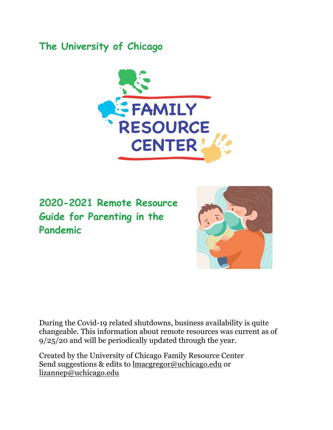## **The University of Chicago**



**2020-2021 Remote Resource Guide for Parenting in the Pandemic** 



During the Covid-19 related shutdowns, business availability is quite changeable. This information about remote resources was current as of 9/25/20 and will be periodically updated through the year.

Created by the University of Chicago Family Resource Center Send suggestions & edits to lmacgregor@uchicago.edu or lizannep@uchicago.edu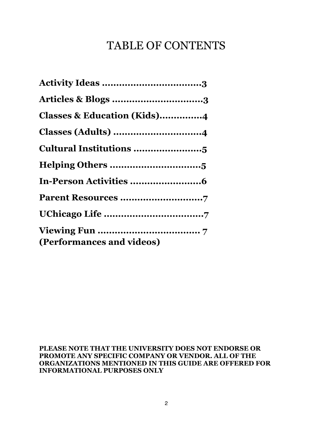# TABLE OF CONTENTS

| Articles & Blogs 3                     |
|----------------------------------------|
| <b>Classes &amp; Education (Kids)4</b> |
|                                        |
| Cultural Institutions 5                |
|                                        |
|                                        |
|                                        |
|                                        |
| (Performances and videos)              |

**PLEASE NOTE THAT THE UNIVERSITY DOES NOT ENDORSE OR PROMOTE ANY SPECIFIC COMPANY OR VENDOR. ALL OF THE ORGANIZATIONS MENTIONED IN THIS GUIDE ARE OFFERED FOR INFORMATIONAL PURPOSES ONLY**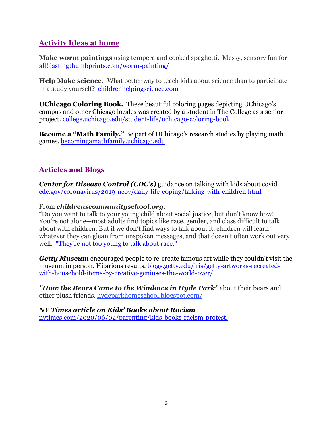## **Activity Ideas at home**

**Make worm paintings** using tempera and cooked spaghetti. Messy, sensory fun for all! lastingthumbprints.com/worm-painting/

**Help Make science.** What better way to teach kids about science than to participate in a study yourself? childrenhelpingscience.com

**UChicago Coloring Book.** These beautiful coloring pages depicting UChicago's campus and other Chicago locales was created by a student in The College as a senior project. college.uchicago.edu/student-life/uchicago-coloring-book

**Become a "Math Family."** Be part of UChicago's research studies by playing math games. becomingamathfamily.uchicago.edu

## **Articles and Blogs**

*Center for Disease Control (CDC's)* guidance on talking with kids about covid. cdc.gov/coronavirus/2019-ncov/daily-life-coping/talking-with-children.html

#### From *childrenscommunityschool.org*:

"Do you want to talk to your young child about social justice, but don't know how? You're not alone—most adults find topics like race, gender, and class difficult to talk about with children. But if we don't find ways to talk about it, children will learn whatever they can glean from unspoken messages, and that doesn't often work out very well. "They're not too young to talk about race."

*Getty Museum* encouraged people to re-create famous art while they couldn't visit the museum in person. Hilarious results. blogs.getty.edu/iris/getty-artworks-recreatedwith-household-items-by-creative-geniuses-the-world-over/

*"How the Bears Came to the Windows in Hyde Park"* about their bears and other plush friends. hydeparkhomeschool.blogspot.com/

#### *NY Times article on Kids' Books about Racism*

nytimes.com/2020/06/02/parenting/kids-books-racism-protest.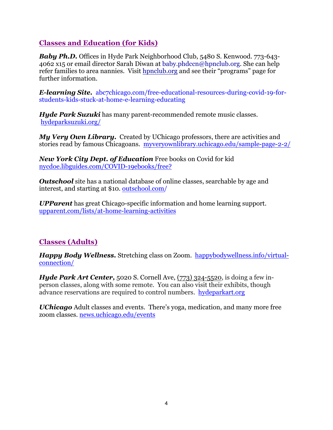## **Classes and Education (for Kids)**

*Baby Ph.D.* Offices in Hyde Park Neighborhood Club, 5480 S. Kenwood. 773-643- 4062 x15 or email director Sarah Diwan at baby.phdccn@hpnclub.org. She can help refer families to area nannies. Visit hpnclub.org and see their "programs" page for further information.

*E-learning Site.* abc7chicago.com/free-educational-resources-during-covid-19-forstudents-kids-stuck-at-home-e-learning-educating

*Hyde Park Suzuki* has many parent-recommended remote music classes. hydeparksuzuki.org/

*My Very Own Library.* Created by UChicago professors, there are activities and stories read by famous Chicagoans. myveryownlibrary.uchicago.edu/sample-page-2-2/

*New York City Dept. of Education* Free books on Covid for kid nycdoe.libguides.com/COVID-19ebooks/free?

*Outschool* site has a national database of online classes, searchable by age and interest, and starting at \$10. outschool.com/

*UPParent* has great Chicago-specific information and home learning support. upparent.com/lists/at-home-learning-activities

## **Classes (Adults)**

*Happy Body Wellness.* Stretching class on Zoom. happybodywellness.info/virtualconnection/

*Hyde Park Art Center, 5020 S. Cornell Ave, (773) 324-5520, is doing a few in*person classes, along with some remote. You can also visit their exhibits, though advance reservations are required to control numbers. hydeparkart.org

*UChicago* Adult classes and events. There's yoga, medication, and many more free zoom classes. news.uchicago.edu/events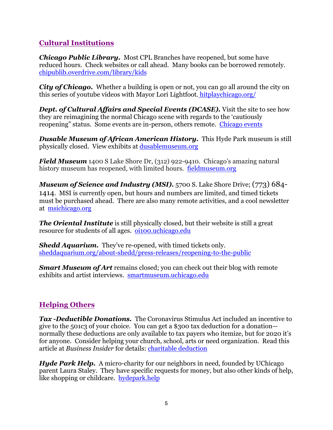## **Cultural Institutions**

*Chicago Public Library.* Most CPL Branches have reopened, but some have reduced hours. Check websites or call ahead. Many books can be borrowed remotely. chipublib.overdrive.com/library/kids

*City of Chicago.* Whether a building is open or not, you can go all around the city on this series of youtube videos with Mayor Lori Lightfoot. hitplaychicago.org/

*Dept. of Cultural Affairs and Special Events (DCASE).* Visit the site to see how they are reimagining the normal Chicago scene with regards to the 'cautiously reopening" status. Some events are in-person, others remote. Chicago events

*Dusable Museum of African American History.* This Hyde Park museum is still physically closed. View exhibits at dusablemuseum.org

*Field Museum* 1400 S Lake Shore Dr, (312) 922-9410. Chicago's amazing natural history museum has reopened, with limited hours. fieldmuseum.org

*Museum of Science and Industry (MSI).* 5700 S. Lake Shore Drive; (773) 684- 1414. MSI is currently open, but hours and numbers are limited, and timed tickets must be purchased ahead. There are also many remote activities, and a cool newsletter at msichicago.org

*The Oriental Institute* is still physically closed, but their website is still a great resource for students of all ages. oi100.uchicago.edu

*Shedd Aquarium.* They've re-opened, with timed tickets only. sheddaquarium.org/about-shedd/press-releases/reopening-to-the-public

*Smart Museum of Art* remains closed; you can check out their blog with remote exhibits and artist interviews. smartmuseum.uchicago.edu

## **Helping Others**

*Tax -Deductible Donations.* The Coronavirus Stimulus Act included an incentive to give to the 501c3 of your choice. You can get a \$300 tax deduction for a donation normally these deductions are only available to tax payers who itemize, but for 2020 it's for anyone. Consider helping your church, school, arts or need organization. Read this article at *Business Insider* for details: charitable deduction

*Hyde Park Help.* A micro-charity for our neighbors in need, founded by UChicago parent Laura Staley. They have specific requests for money, but also other kinds of help, like shopping or childcare. hydepark.help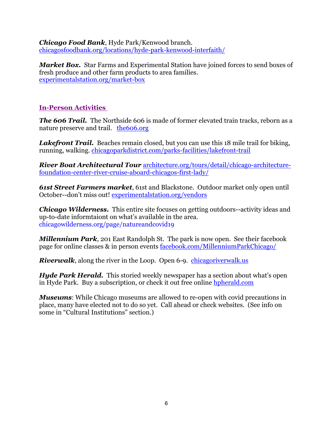*Chicago Food Bank*, Hyde Park/Kenwood branch. chicagosfoodbank.org/locations/hyde-park-kenwood-interfaith/

*Market Box.* Star Farms and Experimental Station have joined forces to send boxes of fresh produce and other farm products to area families. experimentalstation.org/market-box

#### **In-Person Activities**

*The 606 Trail.* The Northside 606 is made of former elevated train tracks, reborn as a nature preserve and trail. the 606.org

*Lakefront Trail.* Beaches remain closed, but you can use this 18 mile trail for biking, running, walking. chicagoparkdistrict.com/parks-facilities/lakefront-trail

*River Boat Architectural Tour* architecture.org/tours/detail/chicago-architecturefoundation-center-river-cruise-aboard-chicagos-first-lady/

*61st Street Farmers market*, 61st and Blackstone. Outdoor market only open until October--don't miss out! experimentalstation.org/vendors

*Chicago Wilderness.* This entire site focuses on getting outdoors--activity ideas and up-to-date informtaiont on what's available in the area. chicagowilderness.org/page/natureandcovid19

*Millennium Park*, 201 East Randolph St. The park is now open. See their facebook page for online classes & in person events facebook.com/MillenniumParkChicago/

*Riverwalk*, along the river in the Loop. Open 6-9. chicagoriverwalk.us

*Hyde Park Herald.* This storied weekly newspaper has a section about what's open in Hyde Park. Buy a subscription, or check it out free online hpherald.com

*Museums*: While Chicago museums are allowed to re-open with covid precautions in place, many have elected not to do so yet. Call ahead or check websites. (See info on some in "Cultural Institutions" section.)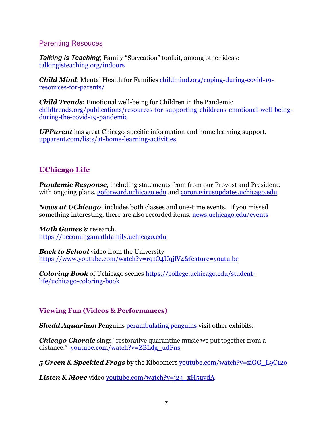#### Parenting Resouces

*Talking is Teaching*; Family "Staycation" toolkit, among other ideas: talkingisteaching.org/indoors

*Child Mind*; Mental Health for Families childmind.org/coping-during-covid-19 resources-for-parents/

*Child Trends*; Emotional well-being for Children in the Pandemic childtrends.org/publications/resources-for-supporting-childrens-emotional-well-beingduring-the-covid-19-pandemic

*UPParent* has great Chicago-specific information and home learning support. upparent.com/lists/at-home-learning-activities

#### **UChicago Life**

*Pandemic Response, including statements from from our Provost and President,* with ongoing plans. goforward.uchicago.edu and coronavirusupdates.uchicago.edu

*News at UChicago*; includes both classes and one-time events. If you missed something interesting, there are also recorded items. news.uchicago.edu/events

*Math Games* & research. https://becomingamathfamily.uchicago.edu

*Back to School* video from the University https://www.youtube.com/watch?v=rq1O4UqjlV4&feature=youtu.be

*Coloring Book* of Uchicago scenes https://college.uchicago.edu/studentlife/uchicago-coloring-book

#### **Viewing Fun (Videos & Performances)**

*Shedd Aquarium* Penguins perambulating penguins visit other exhibits.

*Chicago Chorale* sings "restorative quarantine music we put together from a distance." youtube.com/watch?v=ZBLdg\_udFns

*5 Green & Speckled Frogs* by the Kiboomers youtube.com/watch?v=ziGG\_L9C12o

*Listen & Move* video youtube.com/watch?v=j24\_xH5uvdA